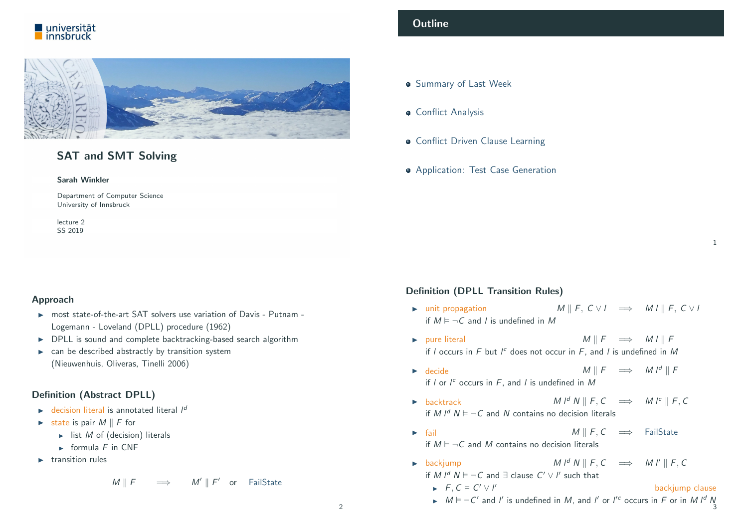



# SAT and SMT Solving

#### Sarah Winkler

Department of Computer Science University of Innsbruck

lecture 2 SS 2019

#### <span id="page-0-0"></span>Approach

- $\triangleright$  most state-of-the-art SAT solvers use variation of Davis Putnam -Logemann - Loveland (DPLL) procedure (1962)
- **DPLL** is sound and complete backtracking-based search algorithm
- $\triangleright$  can be described abstractly by transition system [\(Nieuwenhuis, O](#page-0-0)liveras, Tinelli 2006)

# [Definition \(A](#page-1-0)bstract DPLL)

- $\triangleright$  [decision literal](#page-3-0) is annotated literal  $I^d$
- $\triangleright$  state is pair  $M \parallel F$  for
	- $\blacktriangleright$  list *M* [of \(decision\) literal](http://cl-informatik.uibk.ac.at/teaching/ss19/satsmt)s
	- $\triangleright$  [formula](#page-4-0) F in CNF
- $\blacktriangleright$  [transition](http://cl-informatik.uibk.ac.at/~swinkler) rules

$$
M \parallel F \qquad \Longrightarrow \qquad M' \parallel F' \quad \text{or} \quad \text{FailState}
$$

# **Outline**

- **Summary of Last Week**
- **Conflict Analysis**
- **Conflict Driven Clause Learning**
- **Application: Test Case Generation**

### Definition (DPLL Transition Rules)

 $\triangleright$  unit propagation  $M \parallel F, C \lor I \implies M I \parallel F, C \lor I$ if  $M \models \neg C$  and l is undefined in M

1

- $\triangleright$  pure literal  $M \parallel F \implies M \parallel F$ if  $l$  occurs in  $F$  but  $l^c$  does not occur in  $F$ , and  $l$  is undefined in  $M$
- $\triangleright$  decide  $M \parallel F \implies M I^d \parallel F$ if  $l$  or  $l^c$  occurs in  $F$ , and  $l$  is undefined in  $M$
- $M \parallel^d N \parallel F, C \implies M \parallel^c \parallel F, C$ if M  $I^d$  N  $\models \neg C$  and N contains no decision literals
- $\triangleright$  fail M || F, C  $\implies$  FailState if  $M \models \neg C$  and M contains no decision literals
- ► backjump  $M \downharpoonright^d N \parallel F, C \implies M \upharpoonright^d F, C$ if M  $I^d$   $N \vDash \neg C$  and  $\exists$  clause  $C' \vee I'$  such that
	- $\blacktriangleright$   $F, C \models C' \vee C$ backjump clause
	- If  $M \models \neg C'$  and l' is undefined in M, and l' or l'<sup>c</sup> occurs in F or in M l<sup>d</sup> N  $\frac{1}{3}$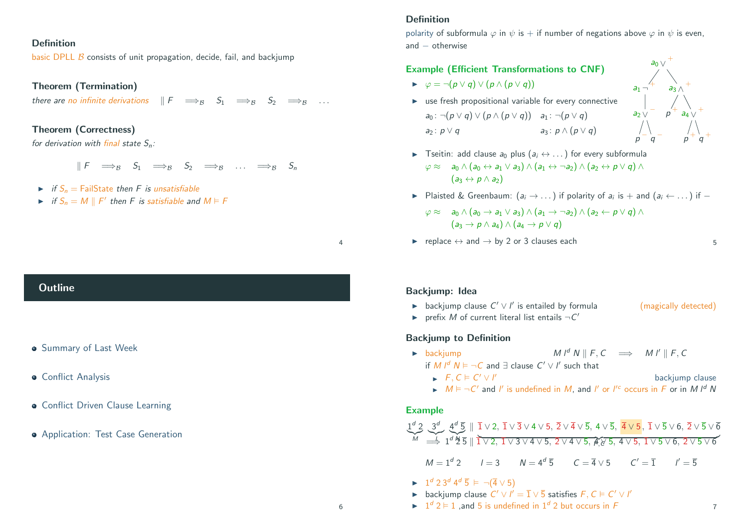### Definition

basic DPLL  $\beta$  consists of unit propagation, decide, fail, and backiump

#### Theorem (Termination)

there are no infinite derivations  $\mathbb{F} \implies_{\mathcal{B}} S_1 \implies_{\mathcal{B}} S_2 \implies_{\mathcal{B}} \dots$ 

# Theorem (Correctness)

for derivation with final state  $S_n$ :

 $\parallel F \rightleftharpoons_{\mathcal{B}} S_1 \rightleftharpoons_{\mathcal{B}} S_2 \rightleftharpoons_{\mathcal{B}} \dots \rightleftharpoons_{\mathcal{B}} S_n$ 

- $\triangleright$  if  $S_n =$  FailState then F is unsatisfiable
- if  $S_n = M \parallel F'$  then F is satisfiable and  $M \vDash F$

#### <span id="page-1-0"></span>**Outline**

- **Summary of Last Week**
- Conflict Analysis
- Conflict Driven Clause Learning
- Application: Test Case Generation

#### Definition

polarity of subformula  $\varphi$  in  $\psi$  is + if number of negations above  $\varphi$  in  $\psi$  is even, and – otherwise

## Example (Efficient Transformations to CNF)

- $\blacktriangleright \varphi = \neg (p \lor q) \lor (p \land (p \lor q))$
- $\blacktriangleright$  use fresh propositional variable for every connective  $a_0$ : ¬ $(p \vee q) \vee (p \wedge (p \vee q))$   $a_1$ : ¬ $(p \vee q)$  $a_2 : p \vee q$   $a_3 : p \wedge (p \vee q)$



- **Figure 1** Tseitin: add clause  $a_0$  plus  $(a_i \leftrightarrow \dots)$  for every subformula  $\varphi \approx a_0 \wedge (a_0 \leftrightarrow a_1 \vee a_3) \wedge (a_1 \leftrightarrow \neg a_2) \wedge (a_2 \leftrightarrow p \vee q) \wedge$  $(a_3 \leftrightarrow p \land a_2)$
- ► Plaisted & Greenbaum:  $(a_i \rightarrow \dots)$  if polarity of  $a_i$  is  $+$  and  $(a_i \leftarrow \dots)$  if  $-$

$$
\varphi \approx \quad a_0 \wedge (a_0 \rightarrow a_1 \vee a_3) \wedge (a_1 \rightarrow \neg a_2) \wedge (a_2 \leftarrow p \vee q) \wedge (a_3 \rightarrow p \wedge a_4) \wedge (a_4 \rightarrow p \vee q)
$$

replace  $\leftrightarrow$  and  $\rightarrow$  by 2 or 3 clauses each

#### Backjump: Idea

4

6

- **►** backjump clause  $C' \vee I'$  is entailed by formula (magically detected)
- P prefix M of current literal list entails  $\neg C'$

#### Backjump to Definition

 $\blacktriangleright$   $F, C \models C' \vee C$ 

- ► backjump  $M \not\parallel K, C \implies M \not\parallel F, C$ 
	- if M  $I^d$   $N \vDash \neg C$  and  $\exists$  clause  $C' \vee I'$  such that
		- backjump clause
	- If  $M \models \neg C'$  and l' is undefined in M, and l' or l'<sup>c</sup> occurs in F or in M l<sup>d</sup> N

#### Example

$$
\underbrace{1^d}_{\mathcal{M}} \underbrace{2}_{\stackrel{\text{def}}{\Longrightarrow}} \underbrace{3^d}_{\stackrel{\text{def}}{\Longrightarrow}} \underbrace{4^d}_{\stackrel{\text{def}}{\Longrightarrow}} \parallel \overline{1} \vee 2, \overline{1} \vee \overline{3} \vee 4 \vee 5, \overline{2} \vee \overline{4} \vee \overline{5}, 4 \vee \overline{5}, \overline{4} \vee 5, \overline{1} \vee \overline{5} \vee 6, \overline{2} \vee \overline{5} \vee \overline{6}
$$
\n
$$
\underbrace{M = 1^d}_{\stackrel{\text{def}}{\Longrightarrow}} \frac{1^d \underbrace{M}_{\stackrel{\text{def}}{\Longrightarrow}} \overline{5} \parallel \overline{1} \vee 2, \overline{1} \vee 3 \vee 4 \vee 5, 2 \vee 4 \vee 5, \overline{4} \vee 5, \overline{4} \vee 5, 4 \vee 5, \overline{1} \vee 5 \vee 6, 2 \vee 5 \vee 6
$$
\n
$$
\mathcal{M} = 1^d \cdot 2 \qquad I = 3 \qquad \mathcal{N} = 4^d \cdot \overline{5} \qquad C = \overline{4} \vee 5 \qquad C' = \overline{1} \qquad I' = \overline{5}
$$

- $\blacktriangleright$  1<sup>d</sup> 2 3<sup>d</sup> 4<sup>d</sup>  $\overline{5}$   $\models \neg (\overline{4} \vee 5)$
- **►** backjump clause  $C' \vee l' = \overline{1} \vee \overline{5}$  satisfies  $F, C \models C' \vee l'$
- $\blacktriangleright$  1<sup>d</sup> 2  $\blacktriangleright$  1, and 5 is undefined in 1<sup>d</sup> 2 but occurs in F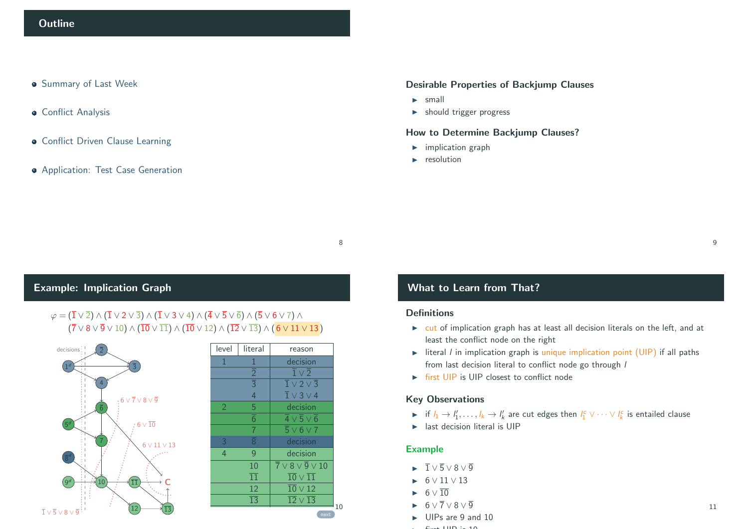- **Summary of Last Week**
- **Conflict Analysis**
- **Conflict Driven Clause Learning**
- Application: Test Case Generation

### Desirable Properties of Backjump Clauses

- $\blacktriangleright$  small
- $\blacktriangleright$  should trigger progress

### How to Determine Backjump Clauses?

- $\blacktriangleright$  implication graph
- $\blacktriangleright$  resolution

# Example: Implication Graph

# $\varphi = (\overline{1} \vee \overline{2}) \wedge (\overline{1} \vee 2 \vee \overline{3}) \wedge (\overline{1} \vee 3 \vee 4) \wedge (\overline{4} \vee \overline{5} \vee \overline{6}) \wedge (\overline{5} \vee 6 \vee 7) \wedge$  $({\overline{7}} \vee 8 \vee {\overline{9}} \vee 10) \wedge ({\overline{10}} \vee {\overline{11}}) \wedge ({\overline{10}} \vee 12) \wedge ({\overline{12}} \vee {\overline{13}}) \wedge (6 \vee 11 \vee 13)$



| level          | literal                           | reason                                             |
|----------------|-----------------------------------|----------------------------------------------------|
| 1              | $\mathbf{1}$                      | decision                                           |
|                | $rac{\overline{2}}{\overline{3}}$ | $\overline{1}\vee\overline{2}$                     |
|                |                                   | $\overline{1} \vee 2 \vee \overline{3}$            |
|                | $\overline{4}$                    | $\overline{1} \vee 3 \vee 4$                       |
| $\overline{2}$ | 5                                 | decision                                           |
|                | $\overline{6}$                    | $\overline{4} \vee \overline{5} \vee \overline{6}$ |
|                | $\overline{7}$                    | $\overline{5} \vee 6 \vee 7$                       |
| 3              | $\overline{\overline{8}}$         | decision                                           |
| $\overline{4}$ | 9                                 | decision                                           |
|                | 10                                | $\overline{7} \vee 8 \vee \overline{9} \vee 10$    |
|                | $\overline{11}$                   | $\overline{10} \vee \overline{11}$                 |
|                | 12                                | $\overline{10} \vee 12$                            |
|                | $\overline{13}$                   | $\overline{12} \vee \overline{13}$                 |
|                |                                   | next                                               |

# What to Learn from That?

#### **Definitions**

8

10

- $\triangleright$  cut of implication graph has at least all decision literals on the left, and at least the conflict node on the right
- iteral *l* in implication graph is unique implication point (UIP) if all paths from last decision literal to conflict node go through /
- $\triangleright$  first UIP is UIP closest to conflict node

### Key Observations

- ► if  $l_1 \to l'_1, \ldots, l_k \to l'_k$  are cut edges then  $l_1^c \vee \cdots \vee l_k^c$  is entailed clause
- $\blacktriangleright$  last decision literal is UIP

#### Example

- $\overline{1} \vee \overline{5} \vee 8 \vee \overline{9}$
- I 6 ∨ 11 ∨ 13
- $\blacktriangleright$  6  $\vee$  10
- $\blacktriangleright$  6  $\vee$  7  $\vee$  8  $\vee$  9
- $\blacktriangleright$  UIPs are 9 and 10
	- $\ddot{a}$  in First U.S.

9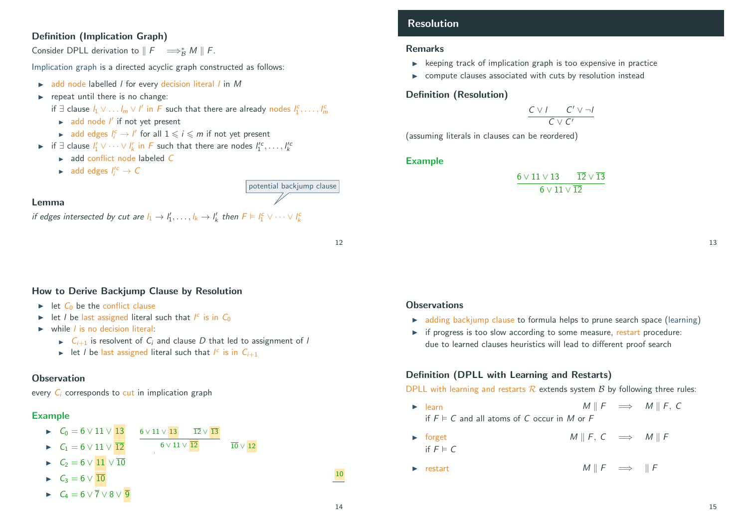# Definition (Implication Graph)

Consider DPLL derivation to  $\parallel F \implies_B^* M \parallel F$ .

Implication graph is a directed acyclic graph constructed as follows:

- $\blacktriangleright$  add node labelled *l* for every decision literal *l* in *M*
- $\blacktriangleright$  repeat until there is no change:
	- if ∃ clause  $l_1 \vee \ldots l_m \vee l'$  in F such that there are already nodes  $l_1^c, \ldots, l_m^c$
	- $\blacktriangleright$  add node  $I'$  if not yet present
	- **add edges**  $I_i^c \rightarrow I'$  for all  $1 \leq i \leq m$  if not yet present
- **►** if  $\exists$  clause  $l'_1 \vee \cdots \vee l'_k$  in F such that there are nodes  $l''_1$ <sup>c</sup>, ...,  $l'^c_k$ 
	- $\rightarrow$  add conflict node labeled  $C$
	- ► add edges  $I_i^{\prime c} \rightarrow C$

# Lemma

if edges intersected by cut are  $l_1 \to l'_1, \ldots, l_k \to l'_k$  then  $F \models l_1^c \vee \cdots \vee l_k^c$ 

12

potential backjump clause

# <span id="page-3-0"></span>How to Derive Backjump Clause by Resolution

- $\triangleright$  let  $C_0$  be the conflict clause
- In let *l* be last assigned literal such that  $I^c$  is in  $C_0$
- $\triangleright$  while *l* is no decision literal:
	- $\triangleright$   $C_{i+1}$  is resolvent of  $C_i$  and clause D that led to assignment of l
	- let *l* be last assigned literal such that  $I^c$  is in  $C_{i+1}$

# **Observation**

every  $C_i$  corresponds to cut in implication graph

# Example

- $\triangleright$   $C_0 = 6 \vee 11 \vee 13$   $6 \vee 11 \vee 13$   $\overline{12} \vee \overline{13}$
- $\triangleright$  C<sub>1</sub> = 6 ∨ 11 ∨  $\overline{12}$  $6 \vee 11 \vee \overline{12}$   $\qquad \qquad \overline{10} \vee \overline{12}$
- $C_2 = 6 \vee 11 \vee 10$
- $C_3 = 6 \vee \overline{10}$
- $\blacktriangleright$   $C_4 = 6 \vee \overline{7} \vee 8 \vee \overline{9}$

# Resolution

### Remarks

- $\triangleright$  keeping track of implication graph is too expensive in practice
- $\triangleright$  compute clauses associated with cuts by resolution instead

# Definition (Resolution)

$$
\frac{C \vee I \qquad C' \vee \neg I}{C \vee C'}
$$

(assuming literals in clauses can be reordered)

## Example

$$
\frac{6\vee 11\vee 13 \qquad \overline{12}\vee \overline{13}}{6\vee 11\vee \overline{12}}
$$

13

# **Observations**

- $\rightarrow$  adding backjump clause to formula helps to prune search space (learning)
- $\triangleright$  if progress is too slow according to some measure, restart procedure: due to learned clauses heuristics will lead to different proof search

# Definition (DPLL with Learning and Restarts)

DPLL with learning and restarts  $R$  extends system  $B$  by following three rules:

- $\triangleright$  learn M ||  $F \implies M \parallel F$ , C if  $F \models C$  and all atoms of C occur in M or F
- $\triangleright$  forget M || F, C  $\implies$  M || F if  $F \models C$
- $\triangleright$  restart M || F  $\implies$  || F

6 ∨ 10 7 ∨ 8 ∨ 9 ∨ 10